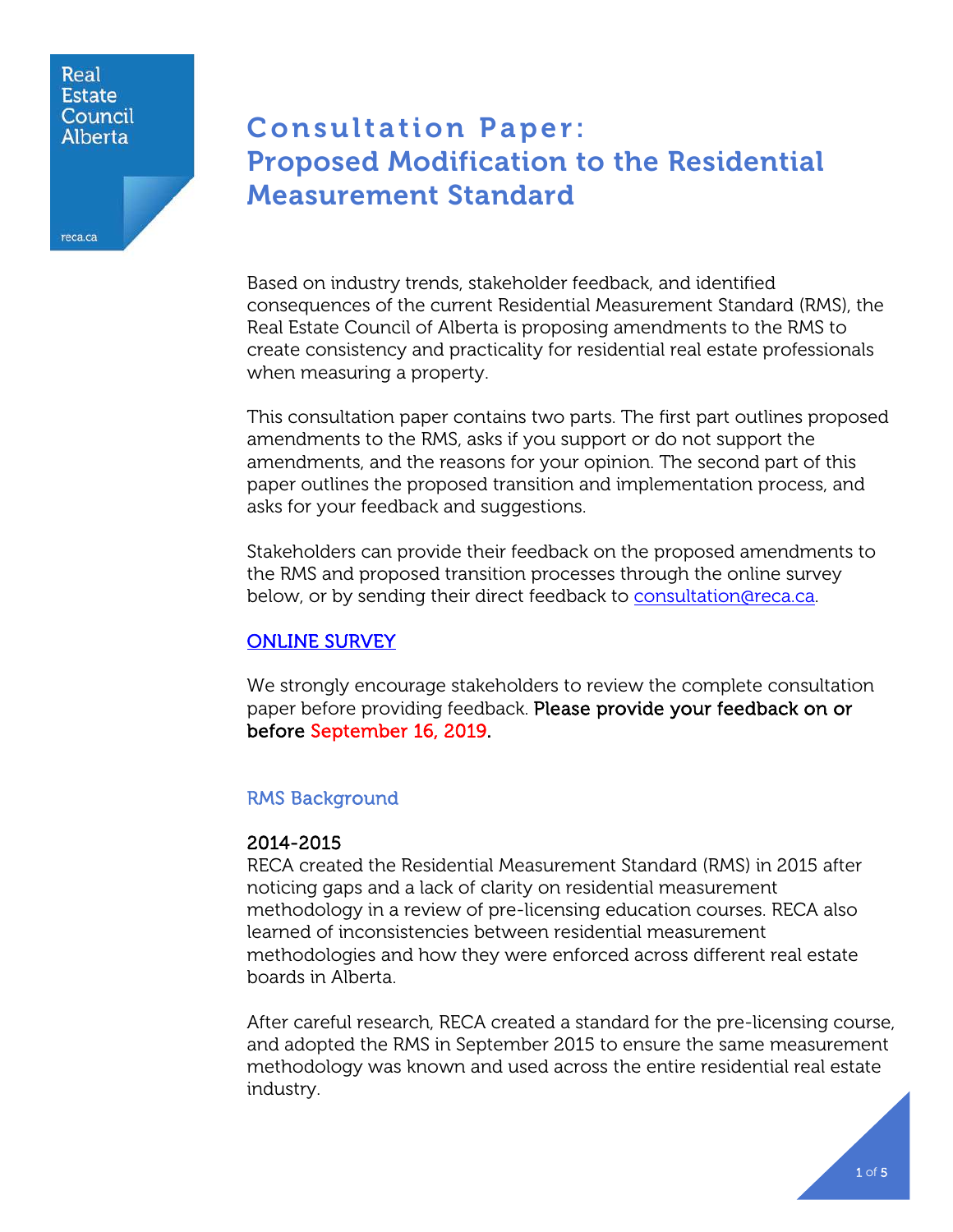### Real **Estate** Council **Alberta**

reca.ca

Consultation Paper: Proposed Modification to the Residential Measurement Standard

Based on industry trends, stakeholder feedback, and identified consequences of the current Residential Measurement Standard (RMS), the Real Estate Council of Alberta is proposing amendments to the RMS to create consistency and practicality for residential real estate professionals when measuring a property.

This consultation paper contains two parts. The first part outlines proposed amendments to the RMS, asks if you support or do not support the amendments, and the reasons for your opinion. The second part of this paper outlines the proposed transition and implementation process, and asks for your feedback and suggestions.

Stakeholders can provide their feedback on the proposed amendments to the RMS and proposed transition processes through the online survey below, or by sending their direct feedback to [consultation@reca.ca.](mailto:consultation@reca.ca)

# [ONLINE SURVEY](https://www.surveymonkey.com/r/RMS-Proposed-Amendments)

We strongly encourage stakeholders to review the complete consultation paper before providing feedback. Please provide your feedback on or before September 16, 2019.

# RMS Background

# 2014-2015

RECA created the Residential Measurement Standard (RMS) in 2015 after noticing gaps and a lack of clarity on residential measurement methodology in a review of pre-licensing education courses. RECA also learned of inconsistencies between residential measurement methodologies and how they were enforced across different real estate boards in Alberta.

After careful research, RECA created a standard for the pre-licensing course, and adopted the RMS in September 2015 to ensure the same measurement methodology was known and used across the entire residential real estate industry.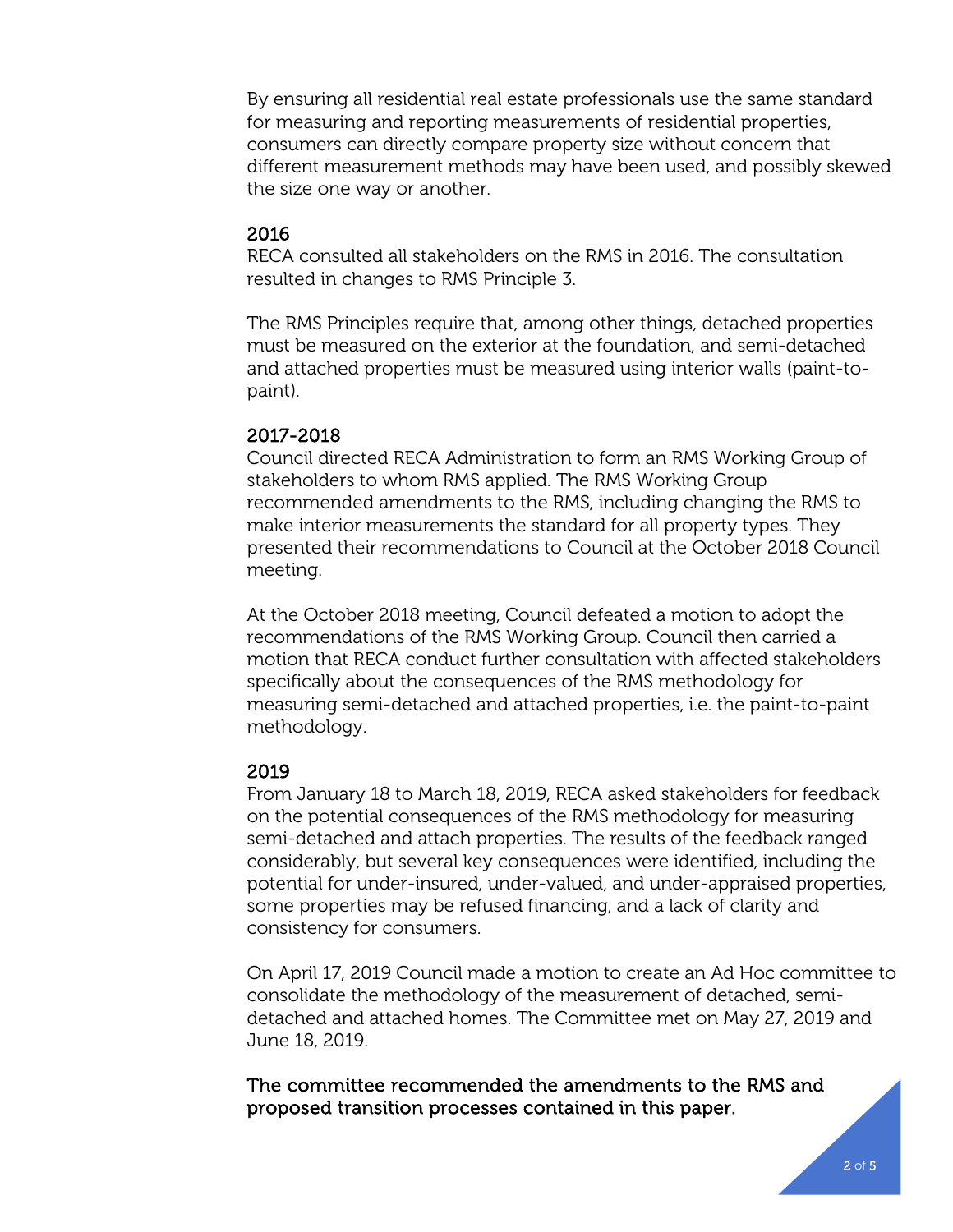By ensuring all residential real estate professionals use the same standard for measuring and reporting measurements of residential properties, consumers can directly compare property size without concern that different measurement methods may have been used, and possibly skewed the size one way or another.

## 2016

RECA consulted all stakeholders on the RMS in 2016. The consultation resulted in changes to RMS Principle 3.

The RMS Principles require that, among other things, detached properties must be measured on the exterior at the foundation, and semi-detached and attached properties must be measured using interior walls (paint-topaint).

## 2017-2018

Council directed RECA Administration to form an RMS Working Group of stakeholders to whom RMS applied. The RMS Working Group recommended amendments to the RMS, including changing the RMS to make interior measurements the standard for all property types. They presented their recommendations to Council at the October 2018 Council meeting.

At the October 2018 meeting, Council defeated a motion to adopt the recommendations of the RMS Working Group. Council then carried a motion that RECA conduct further consultation with affected stakeholders specifically about the consequences of the RMS methodology for measuring semi-detached and attached properties, i.e. the paint-to-paint methodology.

# 2019

From January 18 to March 18, 2019, RECA asked stakeholders for feedback on the potential consequences of the RMS methodology for measuring semi-detached and attach properties. The results of the feedback ranged considerably, but several key consequences were identified, including the potential for under-insured, under-valued, and under-appraised properties, some properties may be refused financing, and a lack of clarity and consistency for consumers.

On April 17, 2019 Council made a motion to create an Ad Hoc committee to consolidate the methodology of the measurement of detached, semidetached and attached homes. The Committee met on May 27, 2019 and June 18, 2019.

The committee recommended the amendments to the RMS and proposed transition processes contained in this paper.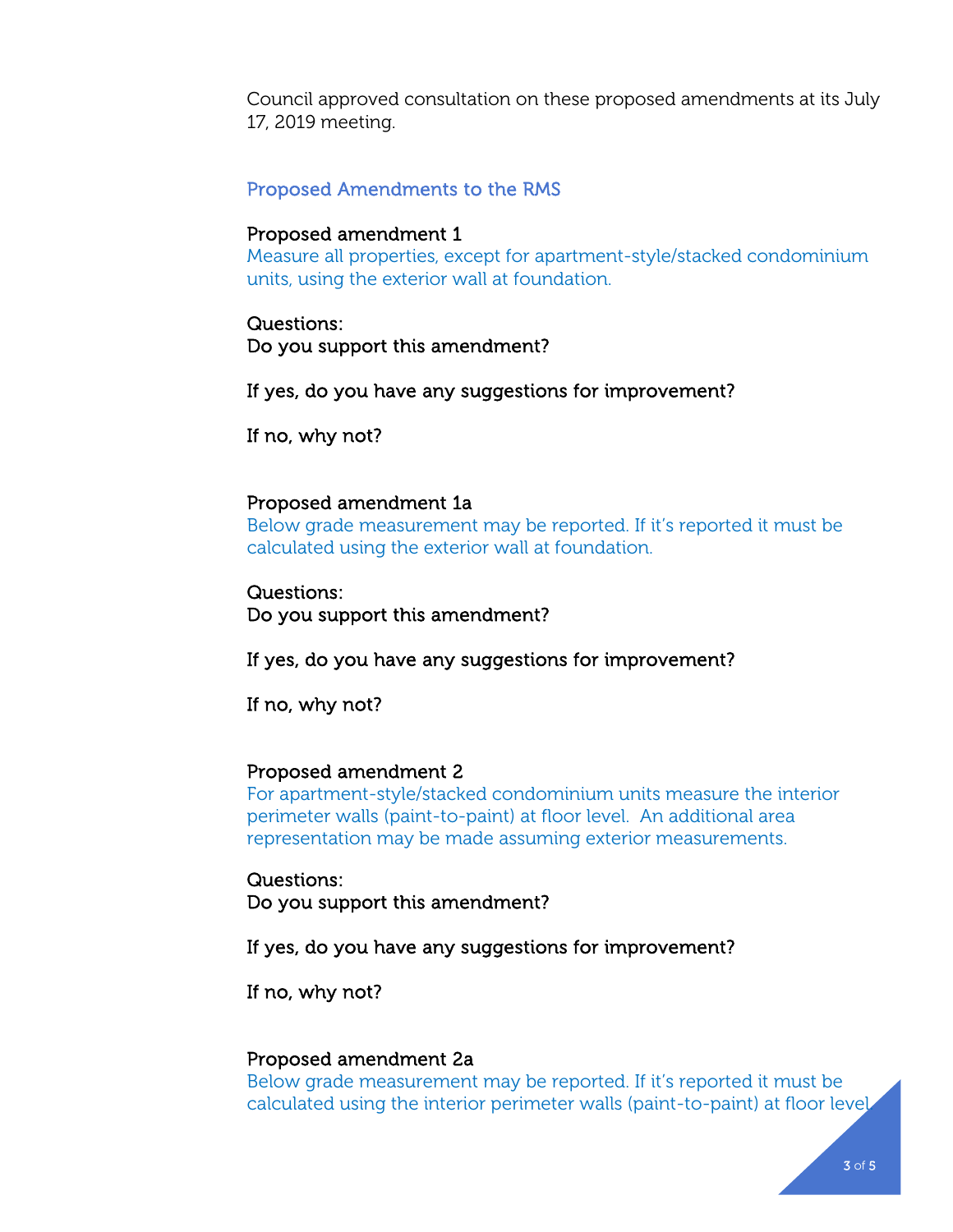Council approved consultation on these proposed amendments at its July 17, 2019 meeting.

#### Proposed Amendments to the RMS

#### Proposed amendment 1

Measure all properties, except for apartment-style/stacked condominium units, using the exterior wall at foundation.

#### Questions:

Do you support this amendment?

If yes, do you have any suggestions for improvement?

If no, why not?

#### Proposed amendment 1a

Below grade measurement may be reported. If it's reported it must be calculated using the exterior wall at foundation.

Questions: Do you support this amendment?

If yes, do you have any suggestions for improvement?

If no, why not?

#### Proposed amendment 2

For apartment-style/stacked condominium units measure the interior perimeter walls (paint-to-paint) at floor level. An additional area representation may be made assuming exterior measurements.

Questions: Do you support this amendment?

If yes, do you have any suggestions for improvement?

If no, why not?

#### Proposed amendment 2a

Below grade measurement may be reported. If it's reported it must be calculated using the interior perimeter walls (paint-to-paint) at floor level.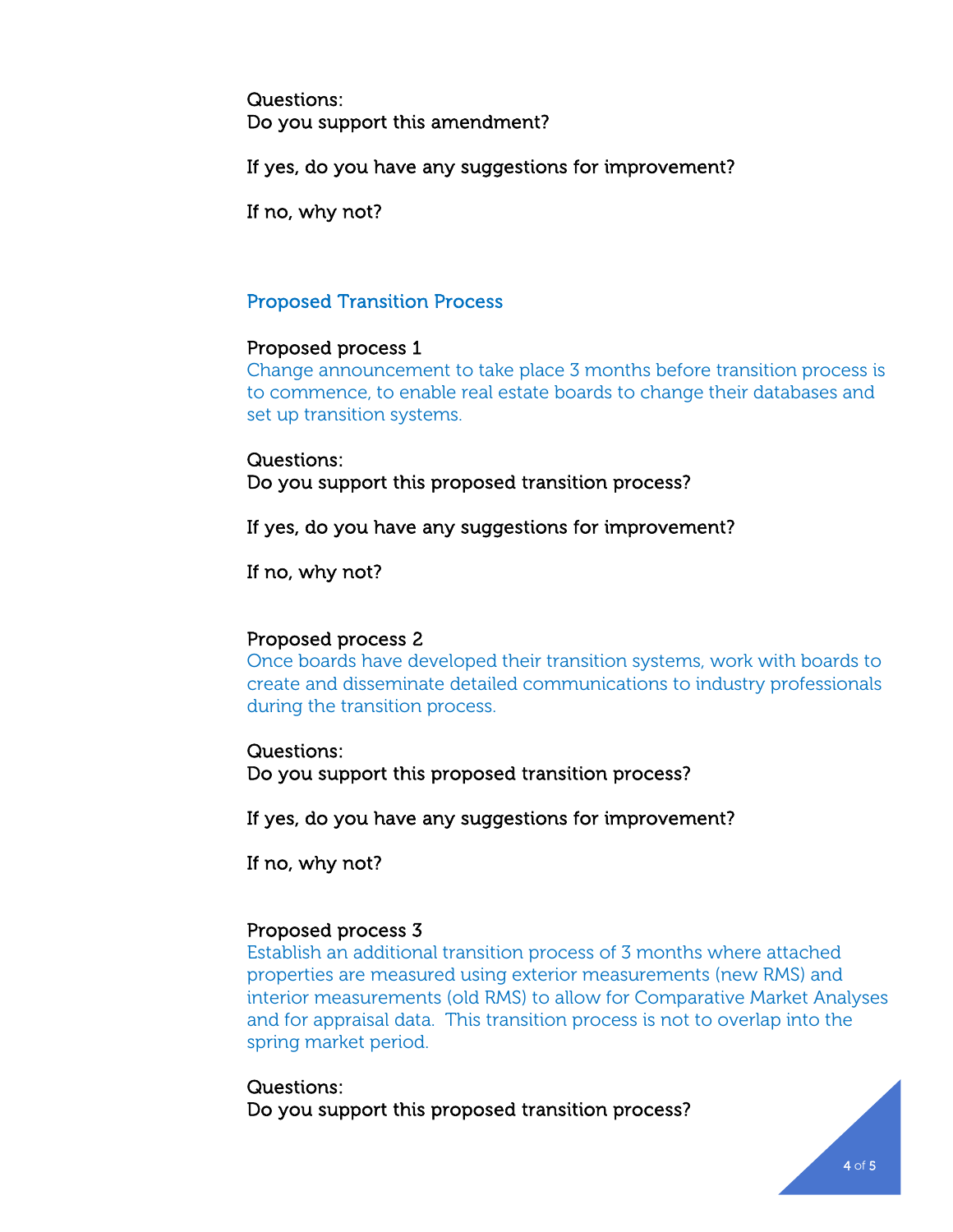Questions: Do you support this amendment?

If yes, do you have any suggestions for improvement?

If no, why not?

## Proposed Transition Process

### Proposed process 1

Change announcement to take place 3 months before transition process is to commence, to enable real estate boards to change their databases and set up transition systems.

Questions: Do you support this proposed transition process?

If yes, do you have any suggestions for improvement?

If no, why not?

### Proposed process 2

Once boards have developed their transition systems, work with boards to create and disseminate detailed communications to industry professionals during the transition process.

### Questions:

Do you support this proposed transition process?

If yes, do you have any suggestions for improvement?

If no, why not?

### Proposed process 3

Establish an additional transition process of 3 months where attached properties are measured using exterior measurements (new RMS) and interior measurements (old RMS) to allow for Comparative Market Analyses and for appraisal data. This transition process is not to overlap into the spring market period.

## Questions: Do you support this proposed transition process?